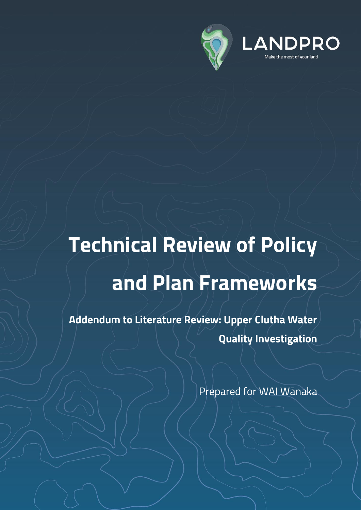

# **Technical Review of Policy and Plan Frameworks**

**Addendum to Literature Review: Upper Clutha Water Quality Investigation**

Prepared for WAI Wānaka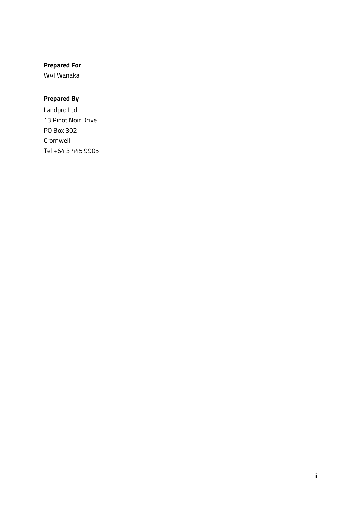## **Prepared For**

WAI Wānaka

## **Prepared By**

Landpro Ltd 13 Pinot Noir Drive PO Box 302 Cromwell Tel +64 3 445 9905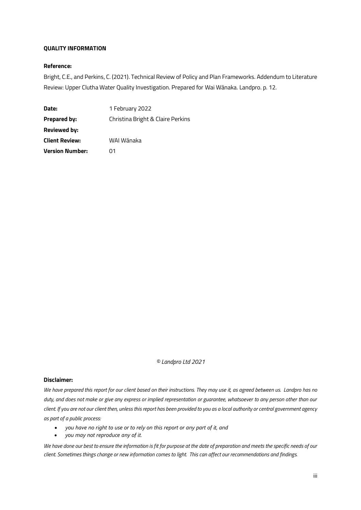#### **QUALITY INFORMATION**

#### **Reference:**

Bright, C.E., and Perkins, C. (2021). Technical Review of Policy and Plan Frameworks. Addendum to Literature Review: Upper Clutha Water Quality Investigation. Prepared for Wai Wānaka. Landpro. p. 12.

| Date:                  | 1 February 2022                   |
|------------------------|-----------------------------------|
| <b>Prepared by:</b>    | Christina Bright & Claire Perkins |
| <b>Reviewed by:</b>    |                                   |
| <b>Client Review:</b>  | WAI Wānaka                        |
| <b>Version Number:</b> | ດ1                                |

*© Landpro Ltd 2021*

#### **Disclaimer:**

*We have prepared this report for our client based on their instructions. They may use it, as agreed between us. Landpro has no duty, and does not make or give any express or implied representation or guarantee, whatsoever to any person other than our client. If you are not our client then, unless this report has been provided to you as a local authority or central government agency as part of a public process:*

- *you have no right to use or to rely on this report or any part of it, and*
- *you may not reproduce any of it.*

*We have done our best to ensure the information is fit for purpose at the date of preparation and meets the specific needs of our client. Sometimes things change or new information comes to light. This can affect our recommendations and findings.*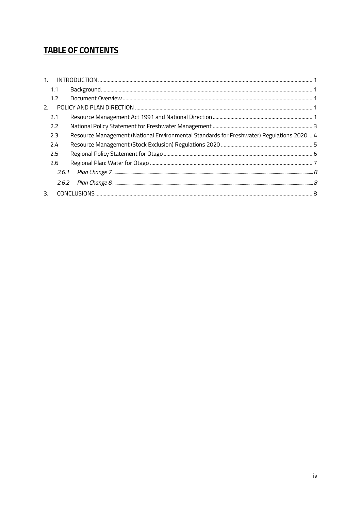## **TABLE OF CONTENTS**

| 1 <sub>1</sub> |     |                                                                                           |  |
|----------------|-----|-------------------------------------------------------------------------------------------|--|
|                | 1.1 |                                                                                           |  |
|                | 1.2 |                                                                                           |  |
| 2.             |     |                                                                                           |  |
|                | 2.1 |                                                                                           |  |
|                | 2.2 |                                                                                           |  |
|                | 2.3 | Resource Management (National Environmental Standards for Freshwater) Regulations 2020  4 |  |
|                | 2.4 |                                                                                           |  |
|                | 2.5 |                                                                                           |  |
|                | 2.6 |                                                                                           |  |
|                |     |                                                                                           |  |
|                |     |                                                                                           |  |
| 3.             |     |                                                                                           |  |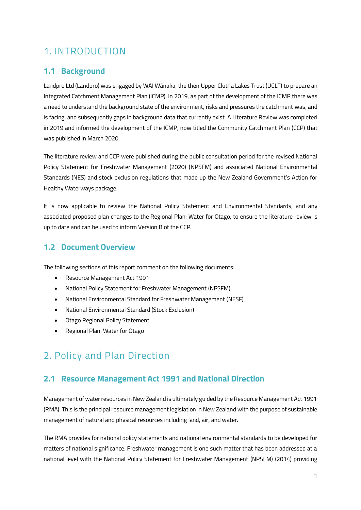# <span id="page-4-0"></span>1. INTRODUCTION

## <span id="page-4-1"></span>**1.1 Background**

Landpro Ltd (Landpro) was engaged by WAI Wānaka, the then Upper Clutha Lakes Trust (UCLT) to prepare an Integrated Catchment Management Plan (ICMP). In 2019, as part of the development of the ICMP there was a need to understand the background state of the environment, risks and pressures the catchment was, and is facing, and subsequently gaps in background data that currently exist. A Literature Review was completed in 2019 and informed the development of the ICMP, now titled the Community Catchment Plan (CCP) that was published in March 2020.

The literature review and CCP were published during the public consultation period for the revised National Policy Statement for Freshwater Management (2020) (NPSFM) and associated National Environmental Standards (NES) and stock exclusion regulations that made up the New Zealand Government's Action for Healthy Waterways package.

It is now applicable to review the National Policy Statement and Environmental Standards, and any associated proposed plan changes to the Regional Plan: Water for Otago, to ensure the literature review is up to date and can be used to inform Version B of the CCP.

## <span id="page-4-2"></span>**1.2 Document Overview**

The following sections of this report comment on the following documents:

- Resource Management Act 1991
- National Policy Statement for Freshwater Management (NPSFM)
- National Environmental Standard for Freshwater Management (NESF)
- National Environmental Standard (Stock Exclusion)
- Otago Regional Policy Statement
- Regional Plan: Water for Otago

# <span id="page-4-3"></span>2. Policy and Plan Direction

## <span id="page-4-4"></span>**2.1 Resource Management Act 1991 and National Direction**

Management of water resources in New Zealand is ultimately guided by the Resource Management Act 1991 (RMA). This is the principal resource management legislation in New Zealand with the purpose of sustainable management of natural and physical resources including land, air, and water.

The RMA provides for national policy statements and national environmental standards to be developed for matters of national significance. Freshwater management is one such matter that has been addressed at a national level with the National Policy Statement for Freshwater Management (NPSFM) (2014) providing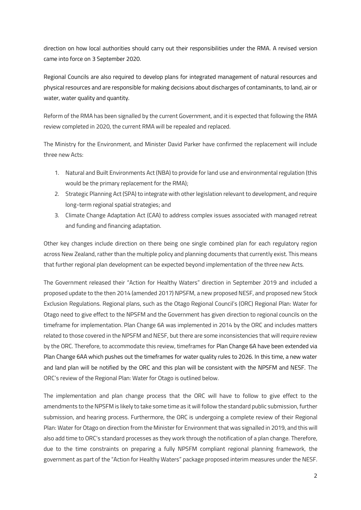direction on how local authorities should carry out their responsibilities under the RMA. A revised version came into force on 3 September 2020.

Regional Councils are also required to develop plans for integrated management of natural resources and physical resources and are responsible for making decisions about discharges of contaminants, to land, air or water, water quality and quantity.

Reform of the RMA has been signalled by the current Government, and it is expected that following the RMA review completed in 2020, the current RMA will be repealed and replaced.

The Ministry for the Environment, and Minister David Parker have confirmed the replacement will include three new Acts:

- 1. Natural and Built Environments Act (NBA) to provide for land use and environmental regulation (this would be the primary replacement for the RMA);
- 2. Strategic Planning Act (SPA) to integrate with other legislation relevant to development, and require long-term regional spatial strategies; and
- 3. Climate Change Adaptation Act (CAA) to address complex issues associated with managed retreat and funding and financing adaptation.

Other key changes include direction on there being one single combined plan for each regulatory region across New Zealand, rather than the multiple policy and planning documents that currently exist. This means that further regional plan development can be expected beyond implementation of the three new Acts.

The Government released their "Action for Healthy Waters" direction in September 2019 and included a proposed update to the then 2014 (amended 2017) NPSFM, a new proposed NESF, and proposed new Stock Exclusion Regulations. Regional plans, such as the Otago Regional Council's (ORC) Regional Plan: Water for Otago need to give effect to the NPSFM and the Government has given direction to regional councils on the timeframe for implementation. Plan Change 6A was implemented in 2014 by the ORC and includes matters related to those covered in the NPSFM and NESF, but there are some inconsistencies that will require review by the ORC. Therefore, to accommodate this review, timeframes for Plan Change 6A have been extended via Plan Change 6AA which pushes out the timeframes for water quality rules to 2026. In this time, a new water and land plan will be notified by the ORC and this plan will be consistent with the NPSFM and NESF. The ORC's review of the Regional Plan: Water for Otago is outlined below.

The implementation and plan change process that the ORC will have to follow to give effect to the amendments to the NPSFM is likely to take some time as it will follow the standard public submission, further submission, and hearing process. Furthermore, the ORC is undergoing a complete review of their Regional Plan: Water for Otago on direction from the Minister for Environment that was signalled in 2019, and this will also add time to ORC's standard processes as they work through the notification of a plan change. Therefore, due to the time constraints on preparing a fully NPSFM compliant regional planning framework, the government as part of the "Action for Healthy Waters" package proposed interim measures under the NESF.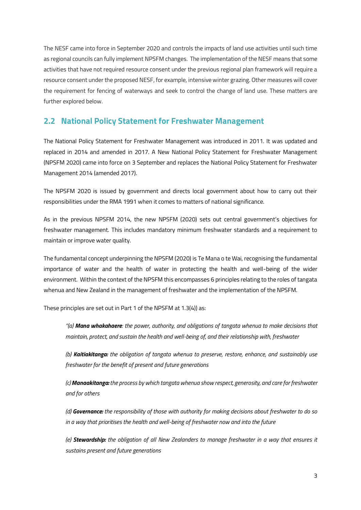The NESF came into force in September 2020 and controls the impacts of land use activities until such time as regional councils can fully implement NPSFM changes. The implementation of the NESF means that some activities that have not required resource consent under the previous regional plan framework will require a resource consent under the proposed NESF, for example, intensive winter grazing. Other measures will cover the requirement for fencing of waterways and seek to control the change of land use. These matters are further explored below.

## <span id="page-6-0"></span>**2.2 National Policy Statement for Freshwater Management**

The National Policy Statement for Freshwater Management was introduced in 2011. It was updated and replaced in 2014 and amended in 2017. A New National Policy Statement for Freshwater Management (NPSFM 2020) came into force on 3 September and replaces the National Policy Statement for Freshwater Management 2014 (amended 2017).

The NPSFM 2020 is issued by government and directs local government about how to carry out their responsibilities under the RMA 1991 when it comes to matters of national significance.

As in the previous NPSFM 2014, the new NPSFM (2020) sets out central government's objectives for freshwater management. This includes mandatory minimum freshwater standards and a requirement to maintain or improve water quality.

The fundamental concept underpinning the NPSFM (2020) is Te Mana o te Wai, recognising the fundamental importance of water and the health of water in protecting the health and well-being of the wider environment. Within the context of the NPSFM this encompasses 6 principles relating to the roles of tangata whenua and New Zealand in the management of freshwater and the implementation of the NPSFM.

These principles are set out in Part 1 of the NPSFM at 1.3(4)) as:

*"(a) Mana whakahaere: the power, authority, and obligations of tangata whenua to make decisions that maintain, protect, and sustain the health and well-being of, and their relationship with, freshwater* 

*(b) Kaitiakitanga: the obligation of tangata whenua to preserve, restore, enhance, and sustainably use freshwater for the benefit of present and future generations* 

*(c) Manaakitanga: the process by which tangata whenua show respect, generosity, and care for freshwater and for others* 

*(d) Governance: the responsibility of those with authority for making decisions about freshwater to do so in a way that prioritises the health and well-being of freshwater now and into the future* 

*(e) Stewardship: the obligation of all New Zealanders to manage freshwater in a way that ensures it sustains present and future generations*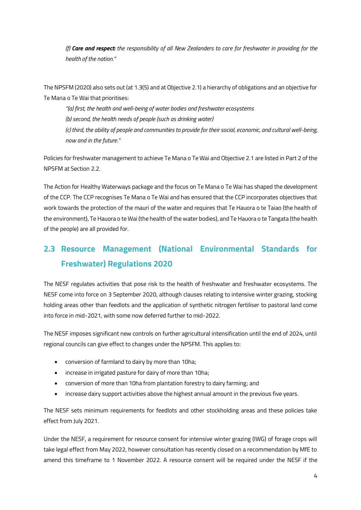*(f) Care and respect: the responsibility of all New Zealanders to care for freshwater in providing for the health of the nation."*

The NPSFM (2020) also sets out (at 1.3(5) and at Objective 2.1) a hierarchy of obligations and an objective for Te Mana o Te Wai that prioritises:

*"(a) first, the health and well-being of water bodies and freshwater ecosystems (b) second, the health needs of people (such as drinking water) (c) third, the ability of people and communities to provide for their social, economic, and cultural well-being, now and in the future."*

Policies for freshwater management to achieve Te Mana o Te Wai and Objective 2.1 are listed in Part 2 of the NPSFM at Section 2.2.

The Action for Healthy Waterways package and the focus on Te Mana o Te Wai has shaped the development of the CCP. The CCP recognises Te Mana o Te Wai and has ensured that the CCP incorporates objectives that work towards the protection of the mauri of the water and requires that Te Hauora o te Taiao (the health of the environment), Te Hauora o te Wai (the health of the water bodies), and Te Hauora o te Tangata (the health of the people) are all provided for.

# <span id="page-7-0"></span>**2.3 Resource Management (National Environmental Standards for Freshwater) Regulations 2020**

The NESF regulates activities that pose risk to the health of freshwater and freshwater ecosystems. The NESF come into force on 3 September 2020, although clauses relating to intensive winter grazing, stocking holding areas other than feedlots and the application of synthetic nitrogen fertiliser to pastoral land come into force in mid-2021, with some now deferred further to mid-2022.

The NESF imposes significant new controls on further agricultural intensification until the end of 2024, until regional councils can give effect to changes under the NPSFM. This applies to:

- conversion of farmland to dairy by more than 10ha;
- increase in irrigated pasture for dairy of more than 10ha;
- conversion of more than 10ha from plantation forestry to dairy farming; and
- increase dairy support activities above the highest annual amount in the previous five years.

The NESF sets minimum requirements for feedlots and other stockholding areas and these policies take effect from July 2021.

Under the NESF, a requirement for resource consent for intensive winter grazing (IWG) of forage crops will take legal effect from May 2022, however consultation has recently closed on a recommendation by MfE to amend this timeframe to 1 November 2022. A resource consent will be required under the NESF if the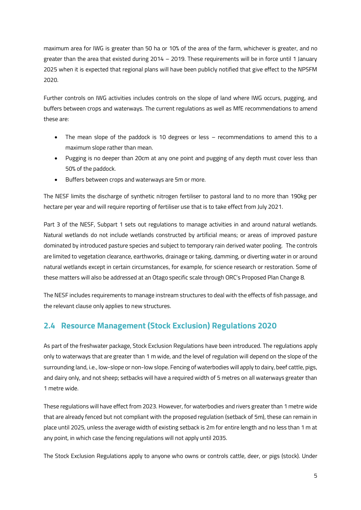maximum area for IWG is greater than 50 ha or 10% of the area of the farm, whichever is greater, and no greater than the area that existed during 2014 – 2019. These requirements will be in force until 1 January 2025 when it is expected that regional plans will have been publicly notified that give effect to the NPSFM 2020.

Further controls on IWG activities includes controls on the slope of land where IWG occurs, pugging, and buffers between crops and waterways. The current regulations as well as MfE recommendations to amend these are:

- The mean slope of the paddock is 10 degrees or less recommendations to amend this to a maximum slope rather than mean.
- Pugging is no deeper than 20cm at any one point and pugging of any depth must cover less than 50% of the paddock.
- Buffers between crops and waterways are 5m or more.

The NESF limits the discharge of synthetic nitrogen fertiliser to pastoral land to no more than 190kg per hectare per year and will require reporting of fertiliser use that is to take effect from July 2021.

Part 3 of the NESF, Subpart 1 sets out regulations to manage activities in and around natural wetlands. Natural wetlands do not include wetlands constructed by artificial means; or areas of improved pasture dominated by introduced pasture species and subject to temporary rain derived water pooling. The controls are limited to vegetation clearance, earthworks, drainage or taking, damming, or diverting water in or around natural wetlands except in certain circumstances, for example, for science research or restoration. Some of these matters will also be addressed at an Otago specific scale through ORC's Proposed Plan Change 8.

The NESF includes requirements to manage instream structures to deal with the effects of fish passage, and the relevant clause only applies to new structures.

## <span id="page-8-0"></span>**2.4 Resource Management (Stock Exclusion) Regulations 2020**

As part of the freshwater package, Stock Exclusion Regulations have been introduced. The regulations apply only to waterways that are greater than 1 m wide, and the level of regulation will depend on the slope of the surrounding land, i.e., low-slope or non-low slope. Fencing of waterbodies will apply to dairy, beef cattle, pigs, and dairy only, and not sheep; setbacks will have a required width of 5 metres on all waterways greater than 1 metre wide.

These regulations will have effect from 2023. However, for waterbodies and rivers greater than 1 metre wide that are already fenced but not compliant with the proposed regulation (setback of 5m), these can remain in place until 2025, unless the average width of existing setback is 2m for entire length and no less than 1 m at any point, in which case the fencing regulations will not apply until 2035.

The Stock Exclusion Regulations apply to anyone who owns or controls cattle, deer, or pigs (stock). Under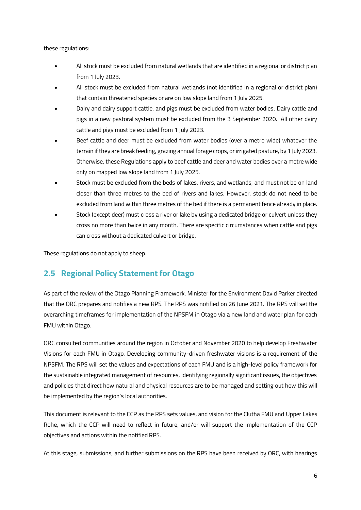these regulations:

- All stock must be excluded from natural wetlands that are identified in a regional or district plan from 1 July 2023.
- All stock must be excluded from natural wetlands (not identified in a regional or district plan) that contain threatened species or are on low slope land from 1 July 2025.
- Dairy and dairy support cattle, and pigs must be excluded from water bodies. Dairy cattle and pigs in a new pastoral system must be excluded from the 3 September 2020. All other dairy cattle and pigs must be excluded from 1 July 2023.
- Beef cattle and deer must be excluded from water bodies (over a metre wide) whatever the terrain if they are break feeding, grazing annual forage crops, or irrigated pasture, by 1 July 2023. Otherwise, these Regulations apply to beef cattle and deer and water bodies over a metre wide only on mapped low slope land from 1 July 2025.
- Stock must be excluded from the beds of lakes, rivers, and wetlands, and must not be on land closer than three metres to the bed of rivers and lakes. However, stock do not need to be excluded from land within three metres of the bed if there is a permanent fence already in place.
- Stock (except deer) must cross a river or lake by using a dedicated bridge or culvert unless they cross no more than twice in any month. There are specific circumstances when cattle and pigs can cross without a dedicated culvert or bridge.

These regulations do not apply to sheep.

## <span id="page-9-0"></span>**2.5 Regional Policy Statement for Otago**

As part of the review of the Otago Planning Framework, Minister for the Environment David Parker directed that the ORC prepares and notifies a new RPS. The RPS was notified on 26 June 2021. The RPS will set the overarching timeframes for implementation of the NPSFM in Otago via a new land and water plan for each FMU within Otago.

ORC consulted communities around the region in October and November 2020 to help develop Freshwater Visions for each FMU in Otago. Developing community-driven freshwater visions is a requirement of the NPSFM. The RPS will set the values and expectations of each FMU and is a high-level policy framework for the sustainable integrated management of resources, identifying regionally significant issues, the objectives and policies that direct how natural and physical resources are to be managed and setting out how this will be implemented by the region's local authorities.

This document is relevant to the CCP as the RPS sets values, and vision for the Clutha FMU and Upper Lakes Rohe, which the CCP will need to reflect in future, and/or will support the implementation of the CCP objectives and actions within the notified RPS.

At this stage, submissions, and further submissions on the RPS have been received by ORC, with hearings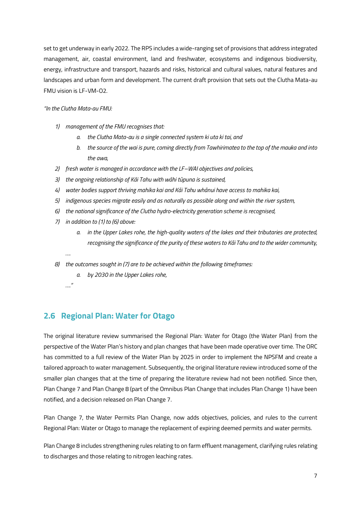set to get underway in early 2022. The RPS includes a wide-ranging set of provisions that address integrated management, air, coastal environment, land and freshwater, ecosystems and indigenous biodiversity, energy, infrastructure and transport, hazards and risks, historical and cultural values, natural features and landscapes and urban form and development. The current draft provision that sets out the Clutha Mata-au FMU vision is LF-VM-O2.

#### *"In the Clutha Mata-au FMU:*

- *1) management of the FMU recognises that:* 
	- *a. the Clutha Mata-au is a single connected system ki uta ki tai, and*
	- *b. the source of the wai is pure, coming directly from Tawhirimatea to the top of the mauka and into the awa,*
- *2) fresh water is managed in accordance with the LF–WAI objectives and policies,*
- *3) the ongoing relationship of Kāi Tahu with wāhi tūpuna is sustained,*
- *4) water bodies support thriving mahika kai and Kāi Tahu whānui have access to mahika kai,*
- *5) indigenous species migrate easily and as naturally as possible along and within the river system,*
- *6) the national significance of the Clutha hydro-electricity generation scheme is recognised,*
- *7) in addition to (1) to (6) above:*
	- *a. in the Upper Lakes rohe, the high-quality waters of the lakes and their tributaries are protected, recognising the significance of the purity of these waters to Kāi Tahu and to the wider community,*
	-

*….*

*…."*

- *8) the outcomes sought in (7) are to be achieved within the following timeframes:*
	- *a. by 2030 in the Upper Lakes rohe,*
- <span id="page-10-0"></span>**2.6 Regional Plan: Water for Otago**

The original literature review summarised the Regional Plan: Water for Otago (the Water Plan) from the perspective of the Water Plan's history and plan changes that have been made operative over time. The ORC has committed to a full review of the Water Plan by 2025 in order to implement the NPSFM and create a tailored approach to water management. Subsequently, the original literature review introduced some of the smaller plan changes that at the time of preparing the literature review had not been notified. Since then, Plan Change 7 and Plan Change 8 (part of the Omnibus Plan Change that includes Plan Change 1) have been notified, and a decision released on Plan Change 7.

Plan Change 7, the Water Permits Plan Change, now adds objectives, policies, and rules to the current Regional Plan: Water or Otago to manage the replacement of expiring deemed permits and water permits.

Plan Change 8 includes strengthening rules relating to on farm effluent management, clarifying rules relating to discharges and those relating to nitrogen leaching rates.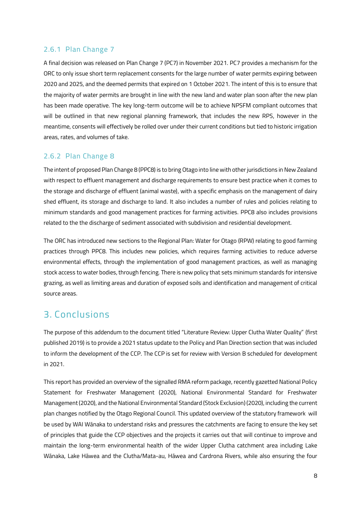#### <span id="page-11-0"></span>2.6.1 Plan Change 7

A final decision was released on Plan Change 7 (PC7) in November 2021. PC7 provides a mechanism for the ORC to only issue short term replacement consents for the large number of water permits expiring between 2020 and 2025, and the deemed permits that expired on 1 October 2021. The intent of this is to ensure that the majority of water permits are brought in line with the new land and water plan soon after the new plan has been made operative. The key long-term outcome will be to achieve NPSFM compliant outcomes that will be outlined in that new regional planning framework, that includes the new RPS, however in the meantime, consents will effectively be rolled over under their current conditions but tied to historic irrigation areas, rates, and volumes of take.

### <span id="page-11-1"></span>2.6.2 Plan Change 8

The intent of proposed Plan Change 8 (PPC8) is to bring Otago into line with other jurisdictions in New Zealand with respect to effluent management and discharge requirements to ensure best practice when it comes to the storage and discharge of effluent (animal waste), with a specific emphasis on the management of dairy shed effluent, its storage and discharge to land. It also includes a number of rules and policies relating to minimum standards and good management practices for farming activities. PPC8 also includes provisions related to the the discharge of sediment associated with subdivision and residential development.

The ORC has introduced new sections to the Regional Plan: Water for Otago (RPW) relating to good farming practices through PPC8. This includes new policies, which requires farming activities to reduce adverse environmental effects, through the implementation of good management practices, as well as managing stock access to water bodies, through fencing. There is new policy that sets minimum standards for intensive grazing, as well as limiting areas and duration of exposed soils and identification and management of critical source areas.

## <span id="page-11-2"></span>3. Conclusions

The purpose of this addendum to the document titled "Literature Review: Upper Clutha Water Quality" (first published 2019) is to provide a 2021 status update to the Policy and Plan Direction section that was included to inform the development of the CCP. The CCP is set for review with Version B scheduled for development in 2021.

This report has provided an overview of the signalled RMA reform package, recently gazetted National Policy Statement for Freshwater Management (2020), National Environmental Standard for Freshwater Management (2020), and the National Environmental Standard (Stock Exclusion) (2020), including the current plan changes notified by the Otago Regional Council. This updated overview of the statutory framework will be used by WAI Wānaka to understand risks and pressures the catchments are facing to ensure the key set of principles that guide the CCP objectives and the projects it carries out that will continue to improve and maintain the long-term environmental health of the wider Upper Clutha catchment area including Lake Wānaka, Lake Hāwea and the Clutha/Mata-au, Hāwea and Cardrona Rivers, while also ensuring the four